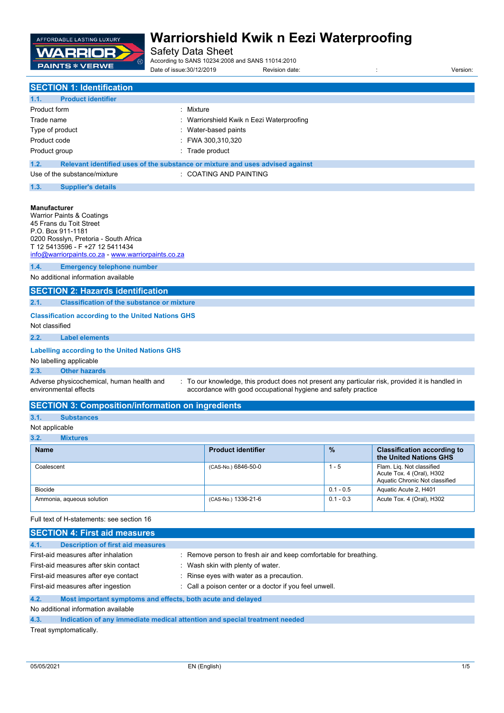

Safety Data Sheet

According to SANS 10234:2008 and SANS 11014:2010

Date of issue:30/12/2019 **Revision date:** The vision date: in the version: version:

| <b>SECTION 1: Identification</b> |                           |                                                                               |
|----------------------------------|---------------------------|-------------------------------------------------------------------------------|
| 1.1.                             | <b>Product identifier</b> |                                                                               |
| Product form                     |                           | : Mixture                                                                     |
| Trade name                       |                           | : Warriorshield Kwik n Eezi Waterproofing                                     |
| Type of product                  |                           | Water-based paints                                                            |
| Product code                     |                           | FWA 300,310,320                                                               |
| Product group                    |                           | : Trade product                                                               |
| 1.2.                             |                           | Relevant identified uses of the substance or mixture and uses advised against |
| Use of the substance/mixture     |                           | : COATING AND PAINTING                                                        |
| 1.3.                             | <b>Supplier's details</b> |                                                                               |

#### **Manufacturer**

|                                                                             | <b>Warrior Paints &amp; Coatings</b><br>45 Frans du Toit Street<br>P.O. Box 911-1181<br>0200 Rosslyn, Pretoria - South Africa<br>T 12 5413596 - F +27 12 5411434<br>info@warriorpaints.co.za - www.warriorpaints.co.za |                                                                                                                                                                   |  |
|-----------------------------------------------------------------------------|------------------------------------------------------------------------------------------------------------------------------------------------------------------------------------------------------------------------|-------------------------------------------------------------------------------------------------------------------------------------------------------------------|--|
| 1.4.                                                                        | <b>Emergency telephone number</b>                                                                                                                                                                                      |                                                                                                                                                                   |  |
|                                                                             | No additional information available                                                                                                                                                                                    |                                                                                                                                                                   |  |
|                                                                             | <b>SECTION 2: Hazards identification</b>                                                                                                                                                                               |                                                                                                                                                                   |  |
| 2.1.                                                                        | <b>Classification of the substance or mixture</b>                                                                                                                                                                      |                                                                                                                                                                   |  |
| <b>Classification according to the United Nations GHS</b><br>Not classified |                                                                                                                                                                                                                        |                                                                                                                                                                   |  |
| 2.2.                                                                        | <b>Label elements</b>                                                                                                                                                                                                  |                                                                                                                                                                   |  |
|                                                                             | Labelling according to the United Nations GHS<br>No labelling applicable                                                                                                                                               |                                                                                                                                                                   |  |
| 2.3.                                                                        | <b>Other hazards</b>                                                                                                                                                                                                   |                                                                                                                                                                   |  |
|                                                                             | Adverse physicochemical, human health and<br>environmental effects                                                                                                                                                     | : To our knowledge, this product does not present any particular risk, provided it is handled in<br>accordance with good occupational hygiene and safety practice |  |

## **SECTION 3: Composition/information on ingredients**

## **3.1. Substances**

### Not applicable

## **3.2. Mixtures**

| .<br>-----------          |                           |               |                                                                                          |
|---------------------------|---------------------------|---------------|------------------------------------------------------------------------------------------|
| <b>Name</b>               | <b>Product identifier</b> | $\frac{9}{6}$ | <b>Classification according to</b><br>the United Nations GHS                             |
| Coalescent                | (CAS-No.) 6846-50-0       | 1 - 5         | Flam. Lig. Not classified<br>Acute Tox. 4 (Oral), H302<br>Aquatic Chronic Not classified |
| <b>Biocide</b>            |                           | $0.1 - 0.5$   | Aquatic Acute 2, H401                                                                    |
| Ammonia, aqueous solution | (CAS-No.) 1336-21-6       | $0.1 - 0.3$   | Acute Tox. 4 (Oral), H302                                                                |

Full text of H-statements: see section 16

| <b>SECTION 4: First aid measures</b>                                |                                                                            |  |  |
|---------------------------------------------------------------------|----------------------------------------------------------------------------|--|--|
| 4.1.<br><b>Description of first aid measures</b>                    |                                                                            |  |  |
| First-aid measures after inhalation                                 | : Remove person to fresh air and keep comfortable for breathing.           |  |  |
| First-aid measures after skin contact                               | Wash skin with plenty of water.                                            |  |  |
| First-aid measures after eye contact                                | Rinse eyes with water as a precaution.                                     |  |  |
| First-aid measures after ingestion                                  | : Call a poison center or a doctor if you feel unwell.                     |  |  |
| 4.2.<br>Most important symptoms and effects, both acute and delayed |                                                                            |  |  |
| No additional information available                                 |                                                                            |  |  |
| 4.3.                                                                | Indication of any immediate medical attention and special treatment needed |  |  |

Treat symptomatically.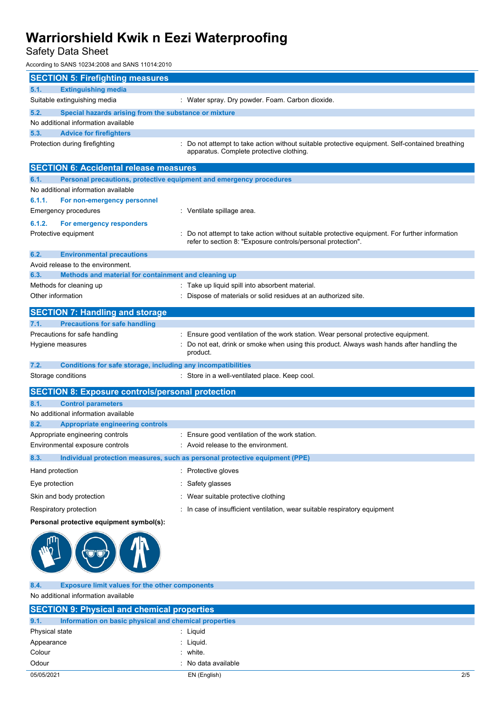# Safety Data Sheet

According to SANS 10234:2008 and SANS 11014:2010

| <b>SECTION 5: Firefighting measures</b>                                             |                                                                                                                                                              |  |  |
|-------------------------------------------------------------------------------------|--------------------------------------------------------------------------------------------------------------------------------------------------------------|--|--|
| <b>Extinguishing media</b><br>5.1.                                                  |                                                                                                                                                              |  |  |
| Suitable extinguishing media                                                        | : Water spray. Dry powder. Foam. Carbon dioxide.                                                                                                             |  |  |
| 5.2.<br>Special hazards arising from the substance or mixture                       |                                                                                                                                                              |  |  |
| No additional information available                                                 |                                                                                                                                                              |  |  |
| <b>Advice for firefighters</b><br>5.3.                                              |                                                                                                                                                              |  |  |
| Protection during firefighting                                                      | : Do not attempt to take action without suitable protective equipment. Self-contained breathing<br>apparatus. Complete protective clothing.                  |  |  |
| <b>SECTION 6: Accidental release measures</b>                                       |                                                                                                                                                              |  |  |
| 6.1.<br>Personal precautions, protective equipment and emergency procedures         |                                                                                                                                                              |  |  |
| No additional information available                                                 |                                                                                                                                                              |  |  |
| 6.1.1.<br>For non-emergency personnel                                               |                                                                                                                                                              |  |  |
| Emergency procedures                                                                | : Ventilate spillage area.                                                                                                                                   |  |  |
| 6.1.2.<br>For emergency responders                                                  |                                                                                                                                                              |  |  |
| Protective equipment                                                                | Do not attempt to take action without suitable protective equipment. For further information<br>refer to section 8: "Exposure controls/personal protection". |  |  |
| 6.2.<br><b>Environmental precautions</b>                                            |                                                                                                                                                              |  |  |
| Avoid release to the environment.                                                   |                                                                                                                                                              |  |  |
| 6.3.<br>Methods and material for containment and cleaning up                        |                                                                                                                                                              |  |  |
| Methods for cleaning up<br>Other information                                        | : Take up liquid spill into absorbent material.                                                                                                              |  |  |
|                                                                                     | Dispose of materials or solid residues at an authorized site.                                                                                                |  |  |
| <b>SECTION 7: Handling and storage</b>                                              |                                                                                                                                                              |  |  |
| <b>Precautions for safe handling</b><br>7.1.                                        |                                                                                                                                                              |  |  |
| Precautions for safe handling                                                       | : Ensure good ventilation of the work station. Wear personal protective equipment.                                                                           |  |  |
| Hygiene measures                                                                    | Do not eat, drink or smoke when using this product. Always wash hands after handling the<br>product.                                                         |  |  |
| 7.2.<br>Conditions for safe storage, including any incompatibilities                |                                                                                                                                                              |  |  |
| Storage conditions                                                                  | : Store in a well-ventilated place. Keep cool.                                                                                                               |  |  |
| <b>SECTION 8: Exposure controls/personal protection</b>                             |                                                                                                                                                              |  |  |
| 8.1.<br><b>Control parameters</b>                                                   |                                                                                                                                                              |  |  |
| No additional information available                                                 |                                                                                                                                                              |  |  |
| 8.2.<br><b>Appropriate engineering controls</b>                                     |                                                                                                                                                              |  |  |
| Appropriate engineering controls                                                    | : Ensure good ventilation of the work station.                                                                                                               |  |  |
| Environmental exposure controls                                                     | . Avoid release to the environment.                                                                                                                          |  |  |
| 8.3.<br>Individual protection measures, such as personal protective equipment (PPE) |                                                                                                                                                              |  |  |
| Hand protection                                                                     | : Protective gloves                                                                                                                                          |  |  |
| Eye protection                                                                      | Safety glasses                                                                                                                                               |  |  |
| Skin and body protection                                                            | Wear suitable protective clothing                                                                                                                            |  |  |
| Respiratory protection                                                              | : In case of insufficient ventilation, wear suitable respiratory equipment                                                                                   |  |  |
| Personal protective equipment symbol(s):                                            |                                                                                                                                                              |  |  |
|                                                                                     |                                                                                                                                                              |  |  |
| <b>Exposure limit values for the other components</b><br>8.4.                       |                                                                                                                                                              |  |  |

No additional information available

| <b>SECTION 9: Physical and chemical properties</b> |                                                       |     |
|----------------------------------------------------|-------------------------------------------------------|-----|
| 9.1.                                               | Information on basic physical and chemical properties |     |
| Physical state                                     | : Liguid                                              |     |
| Appearance                                         | : Liquid.                                             |     |
| Colour                                             | : white.                                              |     |
| Odour                                              | : No data available                                   |     |
| 05/05/2021                                         | EN (English)                                          | 2/5 |
|                                                    |                                                       |     |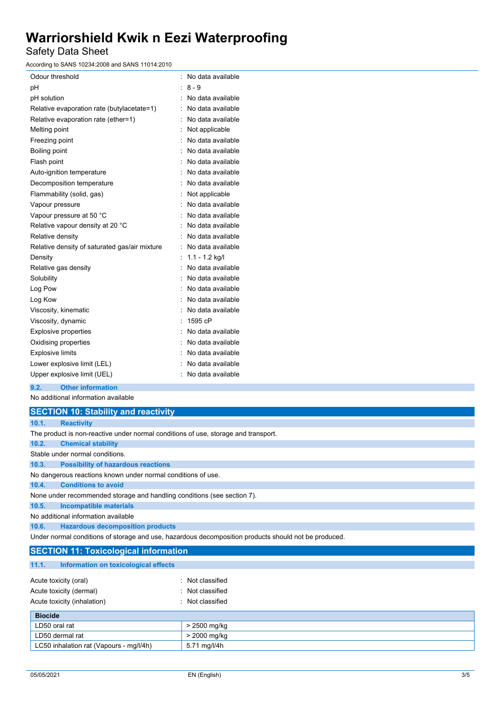## Safety Data Sheet

According to SANS 10234:2008 and SANS 11014:2010

| ccording to SANS 10234:2008 and SANS 11014:2010 ا |                   |
|---------------------------------------------------|-------------------|
| Odour threshold                                   | No data available |
| рH                                                | $8 - 9$<br>÷      |
| pH solution                                       | No data available |
| Relative evaporation rate (butylacetate=1)        | No data available |
| Relative evaporation rate (ether=1)               | No data available |
| Melting point                                     | Not applicable    |
| Freezing point                                    | No data available |
| Boiling point                                     | No data available |
| Flash point                                       | No data available |
| Auto-ignition temperature                         | No data available |
| Decomposition temperature                         | No data available |
| Flammability (solid, gas)                         | Not applicable    |
| Vapour pressure                                   | No data available |
| Vapour pressure at 50 °C                          | No data available |
| Relative vapour density at 20 °C                  | No data available |
| Relative density                                  | No data available |
| Relative density of saturated gas/air mixture     | No data available |
| Density                                           | $1.1 - 1.2$ kg/l  |
| Relative gas density                              | No data available |
| Solubility                                        | No data available |
| Log Pow                                           | No data available |
| Log Kow                                           | No data available |
| Viscosity, kinematic                              | No data available |
| Viscosity, dynamic                                | 1595 cP           |
| <b>Explosive properties</b>                       | No data available |
| Oxidising properties                              | No data available |
| <b>Explosive limits</b>                           | No data available |
| Lower explosive limit (LEL)                       | No data available |
| Upper explosive limit (UEL)                       | No data available |
|                                                   |                   |

**9.2. Other information**

| <b>SECTION 10: Stability and reactivity</b>                                                          |                                                              |  |  |
|------------------------------------------------------------------------------------------------------|--------------------------------------------------------------|--|--|
| 10.1.                                                                                                | <b>Reactivity</b>                                            |  |  |
| The product is non-reactive under normal conditions of use, storage and transport.                   |                                                              |  |  |
| 10.2.                                                                                                | <b>Chemical stability</b>                                    |  |  |
| Stable under normal conditions.                                                                      |                                                              |  |  |
| 10.3.                                                                                                | <b>Possibility of hazardous reactions</b>                    |  |  |
|                                                                                                      | No dangerous reactions known under normal conditions of use. |  |  |
| 10.4.                                                                                                | <b>Conditions to avoid</b>                                   |  |  |
| None under recommended storage and handling conditions (see section 7).                              |                                                              |  |  |
| 10.5.                                                                                                | <b>Incompatible materials</b>                                |  |  |
| No additional information available                                                                  |                                                              |  |  |
| 10.6.                                                                                                | <b>Hazardous decomposition products</b>                      |  |  |
| Under normal conditions of storage and use, hazardous decomposition products should not be produced. |                                                              |  |  |
| <b>SECTION 11: Toxicological information</b>                                                         |                                                              |  |  |
| 11.1.                                                                                                | Information on toxicological effects                         |  |  |

| <b>Biocide</b>              |                  |
|-----------------------------|------------------|
| Acute toxicity (inhalation) | : Not classified |
| Acute toxicity (dermal)     | : Not classified |
| Acute toxicity (oral)       | Not classified   |
|                             |                  |

| <b>Biocide</b>                          |              |  |
|-----------------------------------------|--------------|--|
| LD50 oral rat                           | > 2500 mg/kg |  |
| LD50 dermal rat                         | > 2000 mg/kg |  |
| LC50 inhalation rat (Vapours - mg/l/4h) | 5.71 mg/l/4h |  |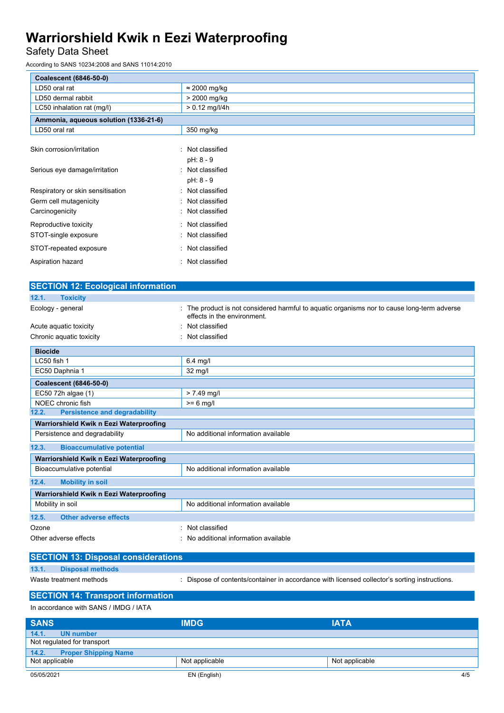# Safety Data Sheet

According to SANS 10234:2008 and SANS 11014:2010

| Coalescent (6846-50-0)                |                             |  |
|---------------------------------------|-----------------------------|--|
| LD50 oral rat                         | $\approx$ 2000 mg/kg        |  |
| LD50 dermal rabbit                    | > 2000 mg/kg                |  |
| LC50 inhalation rat (mg/l)            | $> 0.12$ mg/l/4h            |  |
| Ammonia, aqueous solution (1336-21-6) |                             |  |
| LD50 oral rat                         | 350 mg/kg                   |  |
| Skin corrosion/irritation             | Not classified<br>$\bullet$ |  |
|                                       | pH: 8 - 9                   |  |
| Serious eye damage/irritation         | Not classified              |  |
|                                       | pH: 8 - 9                   |  |
| Respiratory or skin sensitisation     | Not classified              |  |
| Germ cell mutagenicity                | : Not classified            |  |
| Carcinogenicity                       | : Not classified            |  |
| Reproductive toxicity                 | : Not classified            |  |
| STOT-single exposure                  | : Not classified            |  |
| STOT-repeated exposure                | : Not classified            |  |
| Aspiration hazard                     | Not classified<br>÷         |  |

| <b>SECTION 12: Ecological information</b>                            |                                                                                                                          |  |  |  |
|----------------------------------------------------------------------|--------------------------------------------------------------------------------------------------------------------------|--|--|--|
| 12.1.<br><b>Toxicity</b>                                             |                                                                                                                          |  |  |  |
| Ecology - general                                                    | The product is not considered harmful to aquatic organisms nor to cause long-term adverse<br>effects in the environment. |  |  |  |
| Acute aquatic toxicity                                               | Not classified                                                                                                           |  |  |  |
| Not classified<br>Chronic aquatic toxicity                           |                                                                                                                          |  |  |  |
| <b>Biocide</b>                                                       |                                                                                                                          |  |  |  |
| LC50 fish 1                                                          | $6.4$ mg/l                                                                                                               |  |  |  |
| EC50 Daphnia 1                                                       | 32 mg/l                                                                                                                  |  |  |  |
| Coalescent (6846-50-0)                                               |                                                                                                                          |  |  |  |
| EC50 72h algae (1)                                                   | $> 7.49$ mg/l                                                                                                            |  |  |  |
| NOEC chronic fish                                                    | $>= 6$ mg/l                                                                                                              |  |  |  |
| <b>Persistence and degradability</b><br>12.2.                        |                                                                                                                          |  |  |  |
| Warriorshield Kwik n Eezi Waterproofing                              |                                                                                                                          |  |  |  |
| No additional information available<br>Persistence and degradability |                                                                                                                          |  |  |  |
| 12.3.<br><b>Bioaccumulative potential</b>                            |                                                                                                                          |  |  |  |
| Warriorshield Kwik n Eezi Waterproofing                              |                                                                                                                          |  |  |  |
| No additional information available<br>Bioaccumulative potential     |                                                                                                                          |  |  |  |
| <b>Mobility in soil</b><br>12.4.                                     |                                                                                                                          |  |  |  |
| Warriorshield Kwik n Eezi Waterproofing                              |                                                                                                                          |  |  |  |
| Mobility in soil                                                     | No additional information available                                                                                      |  |  |  |
| <b>Other adverse effects</b><br>12.5.                                |                                                                                                                          |  |  |  |
| Ozone                                                                | Not classified                                                                                                           |  |  |  |
| Other adverse effects                                                | No additional information available                                                                                      |  |  |  |

|                         |                         | <b>SECTION 13: Disposal considerations</b>                                                  |
|-------------------------|-------------------------|---------------------------------------------------------------------------------------------|
| 13.1.                   | <b>Disposal methods</b> |                                                                                             |
| Waste treatment methods |                         | Dispose of contents/container in accordance with licensed collector's sorting instructions. |

**SECTION 14: Transport information**

In accordance with SANS / IMDG / IATA

| <b>SANS</b>                          | <b>IMDG</b>    | <b>IATA</b>    |  |
|--------------------------------------|----------------|----------------|--|
| 14.1.<br><b>UN number</b>            |                |                |  |
| Not regulated for transport          |                |                |  |
| 14.2.<br><b>Proper Shipping Name</b> |                |                |  |
| Not applicable                       | Not applicable | Not applicable |  |
| 05/05/2021                           | EN (English)   | 4/5            |  |